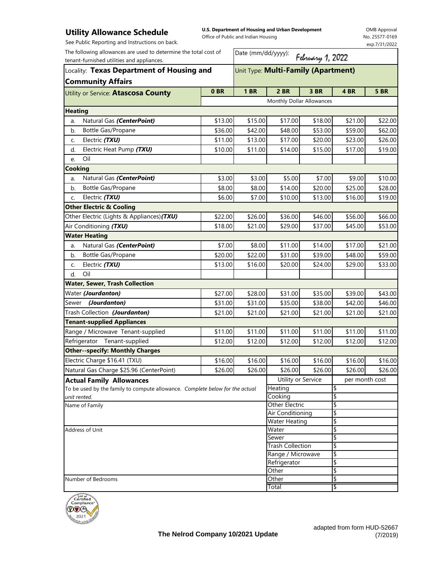## **Utility Allowance Schedule**

See Public Reporting and Instructions on back.

**U.S. Department of Housing and Urban Development**  Office of Public and Indian Housing

OMB Approval No. 25577-0169 exp.7/31/2022

| The following allowances are used to determine the total cost of<br>tenant-furnished utilities and appliances. |         | Date (mm/dd/yyyy):<br>February 1, 2022 |                               |         |                     |             |  |
|----------------------------------------------------------------------------------------------------------------|---------|----------------------------------------|-------------------------------|---------|---------------------|-------------|--|
| Locality: Texas Department of Housing and                                                                      |         | Unit Type: Multi-Family (Apartment)    |                               |         |                     |             |  |
| <b>Community Affairs</b><br>Utility or Service: Atascosa County                                                | 0BR     | <b>1 BR</b>                            | <b>2 BR</b>                   | 3 BR    | 4 BR                | <b>5 BR</b> |  |
|                                                                                                                |         |                                        | Monthly Dollar Allowances     |         |                     |             |  |
| <b>Heating</b>                                                                                                 |         |                                        |                               |         |                     |             |  |
| Natural Gas (CenterPoint)<br>a.                                                                                | \$13.00 | \$15.00                                | \$17.00                       | \$18.00 | \$21.00             | \$22.00     |  |
| <b>Bottle Gas/Propane</b><br>b.                                                                                | \$36.00 | \$42.00                                | \$48.00                       | \$53.00 | \$59.00             | \$62.00     |  |
| Electric (TXU)<br>C.                                                                                           | \$11.00 | \$13.00                                | \$17.00                       | \$20.00 | \$23.00             | \$26.00     |  |
| Electric Heat Pump (TXU)<br>d.                                                                                 | \$10.00 | \$11.00                                | \$14.00                       | \$15.00 | \$17.00             | \$19.00     |  |
| Oil<br>e.                                                                                                      |         |                                        |                               |         |                     |             |  |
| <b>Cooking</b>                                                                                                 |         |                                        |                               |         |                     |             |  |
| Natural Gas (CenterPoint)<br>a.                                                                                | \$3.00  | \$3.00                                 | \$5.00                        | \$7.00  | \$9.00              | \$10.00     |  |
| Bottle Gas/Propane<br>b.                                                                                       | \$8.00  | \$8.00                                 | \$14.00                       | \$20.00 | \$25.00             | \$28.00     |  |
| Electric (TXU)<br>C.                                                                                           | \$6.00  | \$7.00                                 | \$10.00                       | \$13.00 | \$16.00             | \$19.00     |  |
| <b>Other Electric &amp; Cooling</b>                                                                            |         |                                        |                               |         |                     |             |  |
| Other Electric (Lights & Appliances) (TXU)                                                                     | \$22.00 | \$26.00                                | \$36.00                       | \$46.00 | \$56.00             | \$66.00     |  |
| Air Conditioning (TXU)                                                                                         | \$18.00 | \$21.00                                | \$29.00                       | \$37.00 | \$45.00             | \$53.00     |  |
| <b>Water Heating</b>                                                                                           |         |                                        |                               |         |                     |             |  |
| Natural Gas (CenterPoint)<br>a.                                                                                | \$7.00  | \$8.00                                 | \$11.00                       | \$14.00 | \$17.00             | \$21.00     |  |
| Bottle Gas/Propane<br>b.                                                                                       | \$20.00 | \$22.00                                | \$31.00                       | \$39.00 | \$48.00             | \$59.00     |  |
| Electric (TXU)<br>C.                                                                                           | \$13.00 | \$16.00                                | \$20.00                       | \$24.00 | \$29.00             | \$33.00     |  |
| Oil<br>d.                                                                                                      |         |                                        |                               |         |                     |             |  |
| <b>Water, Sewer, Trash Collection</b>                                                                          |         |                                        |                               |         |                     |             |  |
| Water (Jourdanton)                                                                                             | \$27.00 | \$28.00                                | \$31.00                       | \$35.00 | \$39.00             | \$43.00     |  |
| (Jourdanton)<br>Sewer                                                                                          | \$31.00 | \$31.00                                | \$35.00                       | \$38.00 | \$42.00             | \$46.00     |  |
| Trash Collection (Jourdanton)                                                                                  | \$21.00 | \$21.00                                | \$21.00                       | \$21.00 | \$21.00             | \$21.00     |  |
| <b>Tenant-supplied Appliances</b>                                                                              |         |                                        |                               |         |                     |             |  |
| Range / Microwave Tenant-supplied                                                                              | \$11.00 | \$11.00                                | \$11.00                       | \$11.00 | \$11.00             | \$11.00     |  |
| Refrigerator Tenant-supplied                                                                                   | \$12.00 | \$12.00                                | \$12.00                       | \$12.00 | \$12.00             | \$12.00     |  |
| <b>Other--specify: Monthly Charges</b>                                                                         |         |                                        |                               |         |                     |             |  |
| Electric Charge \$16.41 (TXU)                                                                                  | \$16.00 | \$16.00                                | \$16.00                       | \$16.00 | \$16.00             | \$16.00     |  |
| Natural Gas Charge \$25.96 (CenterPoint)                                                                       | \$26.00 | \$26.00                                | $\frac{1}{26.00}$             | \$26.00 | $\overline{$}26.00$ | \$26.00     |  |
| <b>Actual Family Allowances</b>                                                                                |         |                                        | Utility or Service            |         | per month cost      |             |  |
| To be used by the family to compute allowance. Complete below for the actual                                   |         |                                        | Heating                       |         | \$                  |             |  |
| unit rented.                                                                                                   |         |                                        | Cooking                       |         | \$                  |             |  |
| Name of Family                                                                                                 |         |                                        | <b>Other Electric</b>         |         | \$                  |             |  |
|                                                                                                                |         |                                        | Air Conditioning              |         | \$                  |             |  |
| <b>Address of Unit</b>                                                                                         |         |                                        | <b>Water Heating</b><br>Water |         | \$<br>\$            |             |  |
|                                                                                                                |         |                                        | Sewer                         |         | \$                  |             |  |
|                                                                                                                |         |                                        | <b>Trash Collection</b>       |         | \$                  |             |  |
|                                                                                                                |         | Range / Microwave                      |                               | \$      |                     |             |  |
|                                                                                                                |         | Refrigerator                           |                               | \$      |                     |             |  |
|                                                                                                                |         |                                        | Other                         |         | \$                  |             |  |
| Number of Bedrooms                                                                                             |         |                                        | Other                         |         | \$                  |             |  |
|                                                                                                                |         |                                        | Total                         |         | \$                  |             |  |